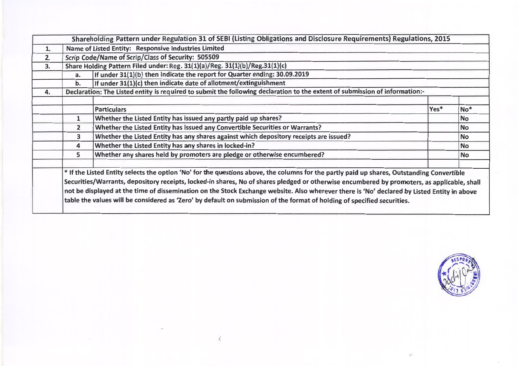|    |              | Shareholding Pattern under Regulation 31 of SEBI (Listing Obligations and Disclosure Requirements) Regulations, 2015                                                                                                                                                                                                                                                                                                                                                                                                                                                 |      |                 |
|----|--------------|----------------------------------------------------------------------------------------------------------------------------------------------------------------------------------------------------------------------------------------------------------------------------------------------------------------------------------------------------------------------------------------------------------------------------------------------------------------------------------------------------------------------------------------------------------------------|------|-----------------|
| 1. |              | Name of Listed Entity: Responsive Industries Limited                                                                                                                                                                                                                                                                                                                                                                                                                                                                                                                 |      |                 |
| 2. |              | Scrip Code/Name of Scrip/Class of Security: 505509                                                                                                                                                                                                                                                                                                                                                                                                                                                                                                                   |      |                 |
| 3. |              | Share Holding Pattern Filed under: Reg. 31(1)(a)/Reg. 31(1)(b)/Reg.31(1)(c)                                                                                                                                                                                                                                                                                                                                                                                                                                                                                          |      |                 |
|    | a.           | If under 31(1)(b) then indicate the report for Quarter ending: 30.09.2019                                                                                                                                                                                                                                                                                                                                                                                                                                                                                            |      |                 |
|    | b.           | If under 31(1)(c) then indicate date of allotment/extinguishment                                                                                                                                                                                                                                                                                                                                                                                                                                                                                                     |      |                 |
| 4. |              | Declaration: The Listed entity is required to submit the following declaration to the extent of submission of information:-                                                                                                                                                                                                                                                                                                                                                                                                                                          |      |                 |
|    |              |                                                                                                                                                                                                                                                                                                                                                                                                                                                                                                                                                                      |      |                 |
|    |              | <b>Particulars</b>                                                                                                                                                                                                                                                                                                                                                                                                                                                                                                                                                   | Yes* | No <sup>*</sup> |
|    | 1            | Whether the Listed Entity has issued any partly paid up shares?                                                                                                                                                                                                                                                                                                                                                                                                                                                                                                      |      | <b>No</b>       |
|    | $\mathbf{2}$ | Whether the Listed Entity has issued any Convertible Securities or Warrants?                                                                                                                                                                                                                                                                                                                                                                                                                                                                                         |      | <b>No</b>       |
|    | 3            | Whether the Listed Entity has any shares against which depository receipts are issued?                                                                                                                                                                                                                                                                                                                                                                                                                                                                               |      | No              |
|    | 4            | Whether the Listed Entity has any shares in locked-in?                                                                                                                                                                                                                                                                                                                                                                                                                                                                                                               |      | <b>No</b>       |
|    | 5            | Whether any shares held by promoters are pledge or otherwise encumbered?                                                                                                                                                                                                                                                                                                                                                                                                                                                                                             |      | <b>No</b>       |
|    |              | * If the Listed Entity selects the option 'No' for the questions above, the columns for the partly paid up shares, Outstanding Convertible<br>Securities/Warrants, depository receipts, locked-in shares, No of shares pledged or otherwise encumbered by promoters, as applicable, shall<br>not be displayed at the time of dissemination on the Stock Exchange website. Also wherever there is 'No' declared by Listed Entity in above<br>table the values will be considered as 'Zero' by default on submission of the format of holding of specified securities. |      |                 |

 $\overline{\left( \right. }%$ 

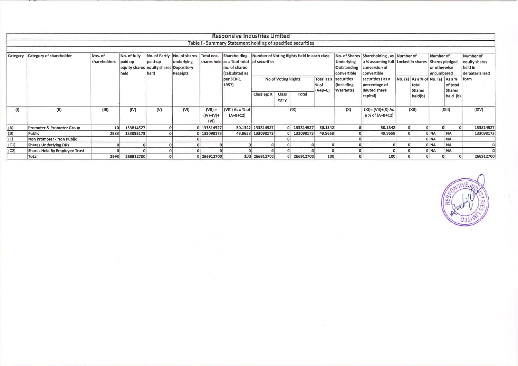|                   |                               |                         |                                                  |                                                              |                               |                                  | Responsive Industries Limited                                                                                        |                   |                       |                                            |                                  |                                               |                                                                                                                               |                                                              |                                         |                           |                                                         |
|-------------------|-------------------------------|-------------------------|--------------------------------------------------|--------------------------------------------------------------|-------------------------------|----------------------------------|----------------------------------------------------------------------------------------------------------------------|-------------------|-----------------------|--------------------------------------------|----------------------------------|-----------------------------------------------|-------------------------------------------------------------------------------------------------------------------------------|--------------------------------------------------------------|-----------------------------------------|---------------------------|---------------------------------------------------------|
|                   |                               |                         |                                                  |                                                              |                               |                                  | Table I - Summary Statement holding of specified securities                                                          |                   |                       |                                            |                                  |                                               |                                                                                                                               |                                                              |                                         |                           |                                                         |
|                   |                               |                         |                                                  |                                                              |                               |                                  |                                                                                                                      |                   |                       |                                            |                                  |                                               |                                                                                                                               |                                                              |                                         |                           |                                                         |
| Category          | Category of shareholder       | Nos. of<br>shareholders | No. of fully<br>paid up<br>equity shares<br>held | No. of Partly<br>paid-up<br>equity shares Depository<br>held | underlying<br><b>Receipts</b> |                                  | No. of shares Total nos. Shareholding<br>shares held as a % of total of securities<br>no. of shares<br>calculated as |                   |                       | Number of Voting Rights held in each class |                                  | Underlying<br>Outstanding<br>convertible      | No. of Shares Shareholding, as Number of<br>a % assuming full Locked in shares Shares pledged<br>conversion of<br>convertible |                                                              | Number of<br>or otherwise<br>encumbered |                           | Number of<br>equity shares<br>held in<br>dematerialised |
|                   |                               |                         |                                                  |                                                              |                               |                                  | per SCRR,<br>1957)                                                                                                   |                   | No of Voting Rights   |                                            | Total as a<br>∣% of<br>$(A+B+C)$ | securities<br>(including<br><b>Warrants</b> ) | securities (as a<br>percentage of<br>diluted share                                                                            | No. (a) As a % of No. (a) As a %<br>  total<br><b>Shares</b> |                                         | of total<br><b>Shares</b> | form                                                    |
|                   |                               |                         |                                                  |                                                              |                               |                                  |                                                                                                                      | Class eg: X       | <b>Class</b><br>eg: y | Total                                      |                                  |                                               | capital)                                                                                                                      | held(b)                                                      |                                         | $ $ held $ $ (b) $ $      |                                                         |
| (1)               | (II)                          | (III)                   | (IV)                                             | (V)                                                          | (VI)                          | $(VII) =$<br>$(IV)+(V)+$<br>(VI) | (VIII) As a % of<br>$(A+B+C2)$                                                                                       |                   |                       | (IX)                                       |                                  | (X)                                           | $(XI) = (VII)+(X) As$<br>a % of (A+B+C2)                                                                                      | (XII)                                                        |                                         | (XIII)                    | (XIV)                                                   |
| (A)               | Promoter & Promoter Group     | 10 <sup>1</sup>         | 133814527                                        |                                                              |                               | 0 133814527                      |                                                                                                                      | 50.1342 133814527 |                       | 0 133814527                                | 50.1342                          |                                               | 50.1342                                                                                                                       | 0 <sup>1</sup><br>$\Omega$                                   |                                         | 0.                        | 133814527                                               |
|                   | Public                        | 2983                    | 133098173                                        |                                                              |                               | 0 133098173                      |                                                                                                                      | 49.8658 133098173 |                       | 0 133098173                                | 49.8658                          |                                               | 49.8658                                                                                                                       |                                                              | 0 NA                                    | <b>NA</b>                 | 133098173                                               |
| $\frac{(B)}{(C)}$ | Non Promoter - Non Public     |                         |                                                  |                                                              |                               |                                  |                                                                                                                      |                   |                       |                                            |                                  |                                               |                                                                                                                               |                                                              | 0 NA                                    | <b>NA</b>                 |                                                         |
| (C1)              | <b>Shares Underlying DRs</b>  |                         |                                                  |                                                              |                               |                                  |                                                                                                                      |                   |                       |                                            |                                  |                                               |                                                                                                                               |                                                              | 0 NA                                    | <b>NA</b>                 |                                                         |
| $ $ (C2)          | Shares Held By Employee Trust |                         |                                                  |                                                              |                               |                                  |                                                                                                                      |                   |                       |                                            |                                  |                                               |                                                                                                                               |                                                              | 0 NA                                    | <b>NA</b>                 |                                                         |
|                   | Total                         | 2993                    | 266912700                                        |                                                              |                               | 0 266912700                      |                                                                                                                      | 100 266912700     |                       | 0 266912700                                | 100                              |                                               | 100                                                                                                                           |                                                              |                                         |                           | 266912700                                               |

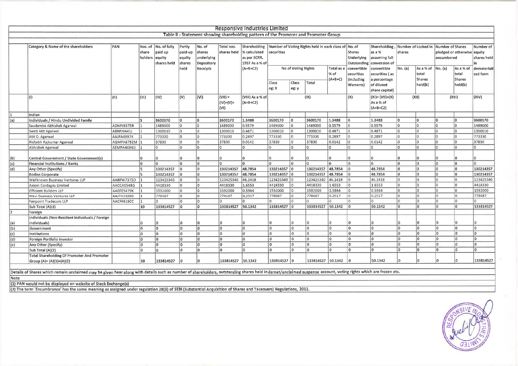|     |                                                                                                                                                                                                                |              |                         |                                                |                                               |                                                          |                                  | Responsive Industries Limited                                                        |                         |                     |                                                      |                    |                                            |                                                                                      |                                          |                                   |                                                                                                 |                                   |                                        |
|-----|----------------------------------------------------------------------------------------------------------------------------------------------------------------------------------------------------------------|--------------|-------------------------|------------------------------------------------|-----------------------------------------------|----------------------------------------------------------|----------------------------------|--------------------------------------------------------------------------------------|-------------------------|---------------------|------------------------------------------------------|--------------------|--------------------------------------------|--------------------------------------------------------------------------------------|------------------------------------------|-----------------------------------|-------------------------------------------------------------------------------------------------|-----------------------------------|----------------------------------------|
|     |                                                                                                                                                                                                                |              |                         |                                                |                                               |                                                          |                                  | Table II - Statement showing shareholding pattern of the Promoter and Promoter Group |                         |                     |                                                      |                    |                                            |                                                                                      |                                          |                                   |                                                                                                 |                                   |                                        |
|     |                                                                                                                                                                                                                |              |                         |                                                |                                               |                                                          |                                  |                                                                                      |                         |                     |                                                      |                    |                                            |                                                                                      |                                          |                                   |                                                                                                 |                                   |                                        |
|     | Category & Name of the shareholders                                                                                                                                                                            | PAN          | share<br>holders equity | Nos. of No. of fully<br>paid up<br>shares held | Partly<br>paid-up<br>equity<br>shares<br>held | No. of<br>shares<br>underlying<br>Depository<br>Receipts | Total nos.<br>shares held        | Shareholding<br>% calculated<br>as per SCRR,<br>1957 As a % of<br>$(A+B+C2)$         | securities              | No of Voting Rights | Number of Voting Rights held in each class of No. of | Total as a         | <b>Shares</b><br>Underlying<br>convertible | Shareholding,<br>as a %<br>assuming full<br>Outstanding conversion of<br>convertible | Number of Locked In<br>shares<br>No. (a) |                                   | Number of Shares<br>pledged or otherwise equity<br>encumbered<br>As a % of No. (a)<br>As a % of |                                   | Number of<br>shares held<br>dematerial |
|     |                                                                                                                                                                                                                |              |                         |                                                |                                               |                                                          |                                  |                                                                                      | Class<br>Class<br>Total |                     |                                                      | ∣% of<br>$(A+B+C)$ | securities<br>(including                   | securities (as<br>a percentage                                                       |                                          | total<br><b>Shares</b><br>held(b) |                                                                                                 | total<br><b>Shares</b><br>held(b) | sed form                               |
|     |                                                                                                                                                                                                                |              |                         |                                                |                                               |                                                          |                                  |                                                                                      | eg: X                   | eg: y               |                                                      |                    | Warrants)                                  | of diluted<br>share capital)                                                         |                                          |                                   |                                                                                                 |                                   |                                        |
|     | l (I)                                                                                                                                                                                                          | (11)         | (111)                   | $ $ (IV)                                       | (V)                                           | V                                                        | $(VII) =$<br>$(IV)+(V)+$<br>(VI) | (VIII) As a % of<br>$(A+B+C2)$                                                       |                         |                     | (IX)                                                 |                    | (X)                                        | $(X1) = (V11)+(X)$<br>As a % of<br>$(A+B+C2)$                                        |                                          | (XII)                             |                                                                                                 | (XIII)                            | (XIV)                                  |
| 11. | Indian                                                                                                                                                                                                         |              |                         |                                                |                                               |                                                          |                                  |                                                                                      |                         |                     |                                                      |                    |                                            |                                                                                      |                                          |                                   |                                                                                                 |                                   |                                        |
| (a) | Individuals / Hindu Undivided Family                                                                                                                                                                           |              | 5                       | 3600170                                        | 0                                             | I٥                                                       | 3600170                          | 1.3488                                                                               | 3600170                 | ۱o                  | 3600170                                              | 1.3488             | ١o                                         | 1.3488                                                                               | n                                        | lo.                               | lo.                                                                                             | 10                                | 3600170                                |
|     | Saudamini Abhishek Agarwal                                                                                                                                                                                     | ADNPJ9375R   |                         | 1489000                                        | lo.                                           | <b>O</b>                                                 | 1489000                          | 0.5579                                                                               | 1489000                 | lo.                 | 1489000                                              | 0,5579             | l O                                        | 0.5579                                                                               |                                          | l٥                                | l۵                                                                                              | Iю                                | 1489000                                |
|     | Swati Atit Agarwal                                                                                                                                                                                             | ABRPJ9441J   |                         | 1300010                                        | lo.                                           | l٥                                                       | 1300010                          | 0.4871                                                                               | 1300010                 | $ 0\rangle$         | 1300010                                              | 0.4871             | I٥                                         | 0.4871                                                                               | n.                                       | lo.                               | lo.                                                                                             | lo.                               | 1300010                                |
|     | Atit O. Agarwal                                                                                                                                                                                                | AAJPA4997K   |                         | 773330                                         | lo.                                           | lo.                                                      | 773330                           | 0.2897                                                                               | 773330                  | ١o                  | 773330                                               | 0.2897             | lo.                                        | 0.2897                                                                               | n.                                       | lo.                               | l0                                                                                              | lo.                               | 773330                                 |
|     | Rishabh Rajkumar Agarwal                                                                                                                                                                                       | AGMPA6792M 1 |                         | 37830                                          | lo.                                           | lo.                                                      | 37830                            | 0.0142                                                                               | 37830                   | I٥                  | 37830                                                | 0.0142             | $ 0\rangle$                                | 0.0142                                                                               | $\Omega$                                 | lo.                               | lo.                                                                                             | $ 0\rangle$                       | 37830                                  |
|     | Abhishek Agarwal                                                                                                                                                                                               | AEMPA4084J)  |                         | I٨                                             | lo.                                           | l o                                                      | ۱o                               | I٥                                                                                   | l٥                      | l۵                  |                                                      | $\Omega$           | lo.                                        | $\Omega$                                                                             |                                          | $\Omega$                          | lո                                                                                              | lo.                               |                                        |
| (b) | Central Government / State Government(s)                                                                                                                                                                       |              |                         |                                                | l0.                                           | $\overline{0}$                                           | ۱n                               | ۱۵                                                                                   |                         | ۱n                  |                                                      |                    |                                            | n                                                                                    | n.                                       | n                                 |                                                                                                 | ۱n                                | $\Omega$                               |
| (c) | Financial Institutions / Banks                                                                                                                                                                                 |              | l٥                      | ١n                                             | ١o                                            | $ 0\rangle$                                              | ۱o                               | lo.                                                                                  | ln.                     | l۵                  | 'n                                                   | lo.                | ln.                                        | $\overline{0}$                                                                       | $\overline{0}$                           | lo.                               | ۱n                                                                                              | $ 0\rangle$                       | ln.                                    |
| (d) | Any Other (Specify)                                                                                                                                                                                            |              | ls                      | 130214357                                      | ١o                                            | lo                                                       | 130214357                        | 48.7854                                                                              | 130214357 0             |                     | 130214357 48.7854                                    |                    | lo.                                        | 48.7854                                                                              | lo.                                      | lo.                               | l٥                                                                                              | $ 0\rangle$                       | 130214357                              |
|     | <b>Bodies Corporate</b>                                                                                                                                                                                        |              |                         | 130214357                                      | ١o                                            | lo                                                       | 130214357                        | 48.7854                                                                              | 130214357 0             |                     | 130214357                                            | 48.7854            |                                            | 48.7854                                                                              | lo.                                      | lo.                               | ۱n                                                                                              | $\overline{0}$                    | 130214357                              |
|     | Wellknown Business Ventures LLP                                                                                                                                                                                | AABFW7375D   |                         | 123425340                                      | I٥                                            | lo.                                                      | 123425340                        | 46.2418                                                                              | 123425340 0             |                     | 123425340                                            | 46.2418            |                                            | 46.2418                                                                              | lo.                                      | lo.                               | lo.                                                                                             | lo.                               | 123425340                              |
|     | Axiom Cordages Limited                                                                                                                                                                                         | AACCA0548G   |                         | 4418330                                        | lo.                                           | $ 0\rangle$                                              | 4418330                          | 1.6553                                                                               | 4418330                 | lo                  | 4418330                                              | 1.6553             | lo.                                        | 1.6553                                                                               | lo.                                      | lo.                               | lo.                                                                                             | $\overline{0}$                    | 4418330                                |
|     | <b>Efficient Builders LLP</b>                                                                                                                                                                                  | AAEFE5479K   |                         | 1592000                                        | ۱o                                            | 10                                                       | 1592000                          | 0.5964                                                                               | 1592000                 | 10                  | 1592000                                              | 0.5964             | ۱n                                         | 0.5964                                                                               | lo.                                      | lo.                               | lo.                                                                                             | lo.                               | 1592000                                |
|     | Mavi Business Ventures LLP                                                                                                                                                                                     | AAJFH3188B   |                         | 778687                                         | lo.                                           | lо                                                       | 778687                           | 0.2917                                                                               | 778687                  | lo                  | 778687                                               | 0.2917             | ١n                                         | 0.2917                                                                               | lo.                                      | lo.                               | lo.                                                                                             | lo.                               | 778687                                 |
|     | Fairpoint Tradecom LLP                                                                                                                                                                                         | AACFF616CC   |                         | In.                                            | I٥                                            | l٥                                                       | Ì0.                              | $\Omega$                                                                             | ln.                     | lo                  | $\Omega$                                             | U                  |                                            |                                                                                      | lo.                                      | ln.                               | lo.                                                                                             |                                   |                                        |
|     | Sub Total (A)(1)                                                                                                                                                                                               |              | 10                      | 133814527                                      | I٥                                            | ۱n                                                       | 133814527                        | 50.1342                                                                              | 133814527 0             |                     | 133814527 50.1342                                    |                    | lo.                                        | 50.1342                                                                              | I٥                                       | lo.                               | l٥                                                                                              | l n                               | 133814527                              |
| 2   | Foreign                                                                                                                                                                                                        |              |                         |                                                |                                               |                                                          |                                  |                                                                                      |                         |                     |                                                      |                    |                                            |                                                                                      |                                          |                                   |                                                                                                 |                                   |                                        |
| (a) | Individuals (Non-Resident Individuals / Foreign<br>Individuals)                                                                                                                                                |              |                         |                                                | ١n                                            |                                                          | ١o                               | $\Omega$                                                                             | ۱n                      | ın                  | n.                                                   | o                  | ١o                                         | $\Omega$                                                                             | IO.                                      |                                   |                                                                                                 | ١O                                |                                        |
| (b) | Government                                                                                                                                                                                                     |              | lo.                     | lo.                                            | ١o                                            | ۱n                                                       | ١n                               | lo                                                                                   | $ 0\rangle$             | lo.                 | O.                                                   | l0                 | 1o                                         | ١o                                                                                   | lo.                                      | n.                                | ۱n                                                                                              | l n                               |                                        |
| (c) | Institutions                                                                                                                                                                                                   |              | lo.                     | lo.                                            | ١o                                            | In                                                       | l٥                               | lo                                                                                   | $ 0\rangle$             | lo.                 | lo.                                                  | $\Omega$           | lo.                                        | lo.                                                                                  | lo.                                      | n                                 | ۱o                                                                                              | l n                               | lin                                    |
| (d) | <b>Foreign Portfolio Investor</b>                                                                                                                                                                              |              | lo.                     | lo.                                            | İ٥                                            | l۵                                                       | lo.                              | Ìо                                                                                   | $ 0\rangle$             | İ٥                  | lo.                                                  | ١o                 | $ 0\rangle$                                | $ 0\rangle$                                                                          | I٥                                       | n.                                | lo.                                                                                             | lo.                               | In                                     |
| (e) | Any Other (Specify)                                                                                                                                                                                            |              | ۱n                      | l۵                                             | İ٥                                            | ln.                                                      | ۱n                               | lo                                                                                   | lo.                     | ١o                  | lo.                                                  | $\Omega$           | lo.                                        | lo.                                                                                  | lo.                                      | n                                 | ١o                                                                                              | lo.                               | lо                                     |
|     | Sub Total (A)(2)                                                                                                                                                                                               |              | I۵                      | $\Omega$                                       | I٥                                            | lo.                                                      | ۱n                               | ۱n                                                                                   | lo.                     | ۱n                  | ln.                                                  |                    | ١o                                         | 'n                                                                                   | n.                                       | n                                 | lo.                                                                                             | lin.                              | ۱n                                     |
|     | Total Shareholding Of Promoter And Promoter<br>Group (A)= (A)(1)+(A)(2)                                                                                                                                        |              | 10                      | 133814527                                      | ١۵                                            | I٥                                                       | 133814527                        | 50.1342                                                                              | 133814527 0             |                     | 133814527                                            | 50.1342            |                                            | 50.1342                                                                              | ln.                                      | n                                 | o.                                                                                              |                                   | 133814527                              |
|     | Details of Shares which remain unclaimed may be given hear along with details such as number of shareholders, outstanding shares held in demat/unclaimed suspense account, voting rights which are frozen etc. |              |                         |                                                |                                               |                                                          |                                  |                                                                                      |                         |                     |                                                      |                    |                                            |                                                                                      |                                          |                                   |                                                                                                 |                                   |                                        |

Note<br>11) PAN would not be displayed on website of Stock Exchange(s)<br>12) The term 'Encumbrance' has the same meaning as assigned under regulation 28(3) of SEBI (Substantial Acquisition of Shares and Takeovers) Regulations,

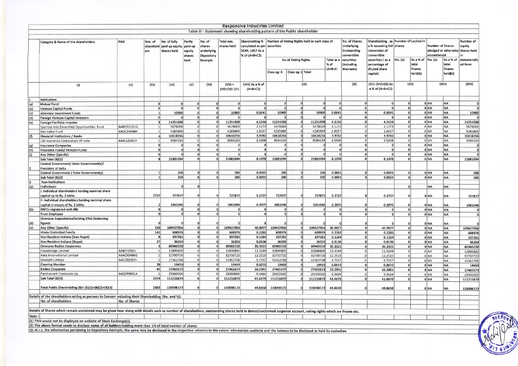|            |                                                                                                                                                                                                                |               |                             |                                               |                                       |                                              |                              | <b>Responsive Industries Limited</b><br>Table III - Statement showing shareholding pattern of the Public shareholder    |                                 |                            |                      |                                 |                                                           |                                                          |                                      |                              |                                                                           |                                     |                         |
|------------|----------------------------------------------------------------------------------------------------------------------------------------------------------------------------------------------------------------|---------------|-----------------------------|-----------------------------------------------|---------------------------------------|----------------------------------------------|------------------------------|-------------------------------------------------------------------------------------------------------------------------|---------------------------------|----------------------------|----------------------|---------------------------------|-----------------------------------------------------------|----------------------------------------------------------|--------------------------------------|------------------------------|---------------------------------------------------------------------------|-------------------------------------|-------------------------|
|            |                                                                                                                                                                                                                |               |                             |                                               |                                       |                                              |                              |                                                                                                                         |                                 |                            |                      |                                 |                                                           |                                                          |                                      |                              |                                                                           |                                     |                         |
|            | Category & Name of the shareholders                                                                                                                                                                            | PAN           | Nos. of<br>sharehold<br>ers | No. of fully<br>paid up equity<br>shares held | Partly<br>paid-up<br>equity<br>shares | No. of<br>shares<br>underlying<br>Depository | Total nos.<br>shares held    | Shareholding %   Number of Voting Rights held in each class of<br>calculated as per<br>SCRR, 1957 As a<br>% of (A+B+C2) | securities                      |                            |                      |                                 | No. of Shares<br>Underlying<br>Outstanding<br>convertible | a % assuming full shares<br>conversion of<br>convertible | Shareholding, as Number of Locked in |                              | <b>Number of Shares</b><br>pledged or otherwise shares held<br>encumbered |                                     | Number of<br>equity     |
|            |                                                                                                                                                                                                                |               |                             |                                               | held                                  | <b>Receipts</b>                              |                              |                                                                                                                         |                                 | <b>No of Voting Rights</b> |                      | Total as a<br>% of<br>$(A+B+C)$ | securities<br>(including<br><b>Warrants)</b>              | securities (as a<br>percentage of<br>diluted share       | No. (a)                              | As a % of<br>total<br>Shares | No. (a)                                                                   | As a % of<br>total<br><b>Shares</b> | dematerialls<br>ed form |
|            |                                                                                                                                                                                                                |               |                             |                                               |                                       |                                              |                              |                                                                                                                         | Class eg: X   Class eg: y Total |                            |                      |                                 |                                                           | capital)                                                 |                                      | held(b)                      |                                                                           | held(b)                             |                         |
|            | (1)                                                                                                                                                                                                            | (II)          | (III)                       | (IV)                                          | (V)                                   | (VI)                                         | $(VII) =$<br>$(IV)+(V)+(VI)$ | (VIII) As a % of<br>$(A + B + C2)$                                                                                      |                                 |                            | (1)                  |                                 | (X)                                                       | (XI)= (VII)+(X) As<br>a % of (A+B+C2)                    |                                      | (X 1)                        |                                                                           | (XIII)                              | (VIX)                   |
|            | Institutions                                                                                                                                                                                                   |               |                             |                                               |                                       |                                              |                              |                                                                                                                         |                                 |                            |                      |                                 |                                                           |                                                          |                                      |                              |                                                                           |                                     |                         |
| (a)        | Mutual Fund                                                                                                                                                                                                    |               |                             | $\Omega$                                      | ۵l                                    | $\Omega$                                     | 0                            |                                                                                                                         | $\Omega$                        |                            |                      |                                 |                                                           | Ωİ                                                       |                                      |                              | 0 NA                                                                      | NA.                                 |                         |
| (p)        | <b>Venture Capital Funds</b>                                                                                                                                                                                   |               | $\Omega$                    | $\Omega$<br>10900                             | ۵                                     | $\overline{0}$<br>$\mathbf{0}$               | $\mathbf{0}$<br>10900        | 0.0041                                                                                                                  | 0 <br>10900                     | $\alpha$<br>O              | $\Omega$<br>10900    | 0.0041                          |                                                           | $\Omega$<br>0.0041                                       | 0                                    |                              | 0 NA<br>0 INA                                                             | <b>NA</b>                           | a<br>10900              |
| (c)        | Alternate Investment Funds                                                                                                                                                                                     |               | $\mathbf{1}$<br>$\Omega$    |                                               | ۵<br>n١                               | $\Omega$                                     |                              |                                                                                                                         |                                 |                            |                      |                                 |                                                           | $\Omega$                                                 | n                                    |                              | 0 NA                                                                      | <b>NA</b><br><b>NA</b>              |                         |
| (d)        | Foreign Venture Capital Investors<br>Foreign Portfolio Investor                                                                                                                                                |               | э                           | 11251938                                      | ۵l                                    | $\Omega$                                     | 11251938                     | 4.2156                                                                                                                  | 11251938                        |                            | 11251938             | 4.2156                          |                                                           | $\Omega$<br>4.2156                                       | $\mathbf{0}$                         |                              | 0 NA                                                                      | <b>NA</b>                           | 11251938                |
| (e)        | Sparrow Asia Diversified Opportunities Fund                                                                                                                                                                    | AANCS3131Q    | 1                           | 5678069                                       | 0                                     | $\Omega$                                     | 5678069                      | 2.1273                                                                                                                  | 5678069                         |                            | 5678069              | 2.1273                          |                                                           | 2.1273<br>$\circ$                                        | $\overline{0}$                       |                              | 0 NA                                                                      | <b>NA</b>                           | 5678069                 |
|            | <b>Bao Value Fund</b>                                                                                                                                                                                          | AAQCS4646H    | 1 <sup>1</sup>              | 4285869                                       | 0                                     | 0                                            | 4285869                      | 1.6057                                                                                                                  | 4285869                         |                            | 4285869              | 1 6057                          |                                                           | 1.6057<br>$\Omega$                                       | $\circ$                              |                              | 0 NA                                                                      | <b>NA</b>                           | 4285869                 |
| $ (\ell) $ | Financial Institutions / Banks                                                                                                                                                                                 |               | 4                           | 10618256                                      | ol                                    | 0.                                           | 10618256                     | 3.9782                                                                                                                  | 10618256                        | n                          | 10618256             | 3.9782                          |                                                           | 3.9782<br>$\mathbf{0}$                                   |                                      | ol                           | 0 NA                                                                      | <b>NA</b>                           | 10618256                |
|            | Life Insurance Corporation Of India                                                                                                                                                                            | AAACL0582H    |                             | 9584233                                       | $\Omega$                              | $\Omega$                                     | 9584233                      | 3.5908                                                                                                                  | 9584233                         | ٥l                         | 9584233              | 3.5908                          |                                                           | 3.5908                                                   | $\Omega$                             |                              | 0 NA                                                                      | <b>NA</b>                           | 9584233                 |
| (g)        | <b>Insurance Companies</b>                                                                                                                                                                                     |               | $\Omega$                    | ٥                                             | ٥l                                    | $\mathbf{0}$                                 | 0                            | 0                                                                                                                       |                                 | ٥l                         |                      | ٥                               |                                                           | $\Omega$<br>O                                            | 0                                    |                              | 0 NA                                                                      | <b>NA</b>                           |                         |
| (h)        | Provident Funds/ Pension Funds                                                                                                                                                                                 |               | $\Omega$                    | n.                                            | nl                                    | $\mathbf{0}$                                 | $\Omega$                     |                                                                                                                         | $\Omega$                        | ۵l                         | n                    | U                               |                                                           | $\Omega$<br>αI                                           |                                      | n.                           | 0 NA                                                                      | <b>NA</b>                           |                         |
| (ii)       | Any Other (Specify)                                                                                                                                                                                            |               | $\Omega$                    |                                               | ۵l                                    | $\Omega$                                     |                              |                                                                                                                         |                                 |                            |                      |                                 |                                                           |                                                          |                                      | $\Omega$                     | 0 NA                                                                      | <b>NA</b>                           |                         |
|            | Sub Total (B)(1)                                                                                                                                                                                               |               | 8                           | 21881094                                      | $\mathbf{0}$                          | $\overline{0}$                               | 21881094                     | 8.1978                                                                                                                  | 21881094                        | o                          | 21881094             | 8.1978                          |                                                           | 8.1978                                                   |                                      | $\overline{0}$               | 0 NA                                                                      | <b>NA</b>                           | 21881094                |
|            | Central Government/ State Government(s)/<br>President of India                                                                                                                                                 |               |                             |                                               |                                       |                                              |                              |                                                                                                                         |                                 |                            |                      |                                 |                                                           |                                                          |                                      |                              |                                                                           |                                     |                         |
|            | Central Government / State Government(s)                                                                                                                                                                       |               | 1                           | 200                                           | $\Omega$                              | $\Omega$                                     | 200                          | 0.0001                                                                                                                  | 200                             | ۵l                         | 200                  | 0.0001                          |                                                           | 0.0001<br>$\Omega$                                       | $\Omega$                             |                              | 0 NA                                                                      | NA                                  | 200                     |
|            | Sub Total (B)(2)                                                                                                                                                                                               |               | 1                           | 200                                           | ٥                                     | $\Omega$                                     | 200                          | 0.0001                                                                                                                  | 200                             | $\mathbf{0}$               | 200                  | 0.0001                          |                                                           | 0.0001<br>$\mathbf{0}$                                   |                                      | o                            | 0 NA                                                                      | <b>INA</b>                          | 200                     |
|            | Non-Institutions                                                                                                                                                                                               |               |                             |                                               |                                       |                                              |                              |                                                                                                                         |                                 |                            |                      |                                 |                                                           |                                                          |                                      |                              |                                                                           |                                     |                         |
| (a)        | Individuals                                                                                                                                                                                                    |               |                             | $\Omega$                                      |                                       |                                              |                              |                                                                                                                         |                                 |                            |                      |                                 |                                                           |                                                          |                                      | $\Omega$                     | <b>NA</b>                                                                 | <b>NA</b>                           |                         |
|            | i. Individual shareholders holding nominal share<br>capital up to Rs. 2 lakhs.<br>ii. Individual shareholders holding nominal share                                                                            |               | 2722                        | 727877                                        |                                       |                                              | 727877                       | 0.2727                                                                                                                  | 727877                          |                            | 727877               | 0.2727                          |                                                           | 0.2727                                                   |                                      |                              | 0 NA                                                                      | NA.                                 | 727877                  |
|            | capital in excess of Rs. 2 lakhs.                                                                                                                                                                              |               |                             | 1061046                                       |                                       |                                              | 1061046                      | 0.3975                                                                                                                  | 1061046                         |                            | 1061046              | 0.3975                          |                                                           | 0.3975                                                   |                                      |                              | 0 NA                                                                      | NΑ.                                 | 1061046                 |
| (b)        | <b>NBFCs registered with RBI</b>                                                                                                                                                                               |               | $\mathbf{0}$                | $\mathbf 0$                                   | $\Omega$                              | $\overline{0}$                               | 0                            | 0                                                                                                                       | o                               | 0                          |                      | 0                               |                                                           | $\mathbf{0}$                                             |                                      | 0                            | 0 NA                                                                      | INA.                                |                         |
|            | <b>Trust Employee</b>                                                                                                                                                                                          |               | 0                           | $\Omega$                                      | ۵l                                    | -al                                          | $\Omega$                     | nl                                                                                                                      | $\mathfrak{a}$                  | ۵l                         | $\theta$             | <sub>0</sub>                    |                                                           | $\sqrt{2}$<br>$\mathfrak{a}$                             |                                      | $\mathfrak{a}$               | 0 NA                                                                      | <b>INA</b>                          |                         |
| (d)        | <b>Overseas Depositories(holding DRs) (balancing</b><br>figure)                                                                                                                                                |               |                             |                                               |                                       |                                              |                              |                                                                                                                         |                                 |                            |                      |                                 |                                                           |                                                          |                                      |                              | 0 NA                                                                      | NA                                  |                         |
| (e)        | Any Other (Specify)                                                                                                                                                                                            |               | 250                         | 109427956                                     | ٥l                                    | $\Omega$                                     | 109427956                    | 40.9977                                                                                                                 | 109427956                       | 0                          | 109427956            | 40.9977                         |                                                           | $\mathfrak{g}$<br>40.9977                                |                                      | 0                            | 0 NA                                                                      | <b>NA</b>                           | 109427956               |
|            | <b>Hindu Undivided Family</b>                                                                                                                                                                                  |               | 141                         | 608976                                        | ٥l                                    | $\Omega$                                     | 608976                       | 0.2282                                                                                                                  | 608976                          | ٥l                         | 608976               | 0.2282                          |                                                           | 0.2282<br>$\mathbf{0}$                                   |                                      | $\mathbf{0}$                 | 0 NA                                                                      | <b>NA</b>                           | 608976                  |
|            | Non Resident Indians (Non Repat)                                                                                                                                                                               |               | $\mathbf{a}$                | 337261                                        | ٥l                                    | $\Omega$                                     | 337261                       | 0.1264                                                                                                                  | 337261                          | ٥l                         | 337261               | 0.1264                          |                                                           | $\Omega$<br>0.1264                                       |                                      | $\Omega$                     | 0 NA                                                                      | NA.                                 | 337261                  |
|            | Non Resident Indians (Repat)                                                                                                                                                                                   |               | 27                          | 36359                                         | $\Omega$                              | $\overline{0}$                               | 36359                        | 0.0136                                                                                                                  | 36359                           | 0                          | 36359                | 0.0136                          |                                                           | 0.0136<br>$\overline{0}$                                 |                                      | $\Omega$                     | 0 NA                                                                      | <b>NA</b>                           | 36359                   |
|            | <b>Qverseas Bodies Corporates</b>                                                                                                                                                                              |               | $\vert$ 3                   | 80960228                                      | n١                                    | $\Omega$                                     | 80960228                     | 30.3321                                                                                                                 | 80960228                        | ۵l                         | 80960228             | 30.3321                         |                                                           | 30.3321<br>$\mathbf{0}$                                  | $\Omega$                             |                              | 0 NA                                                                      | <b>NA</b>                           | 80960228                |
|            | Fossebridge Limited                                                                                                                                                                                            | AABCF0045J    | 1 <sup>1</sup>              | 32896800                                      | 0                                     | $\Omega$                                     | 32896800                     | 12 3 2 4 9                                                                                                              | 32896800                        | ol                         | 32896800             | 12 3249                         |                                                           | $\circ$<br>12 3 2 4 9                                    | $\Omega$                             |                              | 0 NA                                                                      | <b>NA</b>                           | 32896800                |
|            | <b>Xatis International Limited</b>                                                                                                                                                                             | AAACX0466G    | 1                           | 32700720                                      | 0                                     | $\Omega$                                     | 32700720                     | 12 25 15                                                                                                                | 32700720                        | 0                          | 32700720             | 12 25 15                        |                                                           | 12 25 15<br>$\Omega$                                     | $\circ$                              |                              | 0 NA                                                                      | <b>NA</b>                           | 32700720                |
|            | Brenzett Limited                                                                                                                                                                                               | AACCB9307J    | $\mathbf{1}$<br>26          | 15362708                                      | $\Omega$<br>ΩÌ                        | $\Omega$<br>$\Omega$                         | 15362708                     | 5 7 5 5 7                                                                                                               | 15362708                        | $\Omega$                   | 15362708             | 5.7557                          |                                                           | 5.7557<br>$\Omega$                                       | $\circ$                              |                              | 0 NA                                                                      | <b>NA</b>                           | 15362708                |
|            | <b>Clearing Member</b><br><b>Bodies Corporate</b>                                                                                                                                                              |               | 45                          | 19459<br>27465673                             | οl                                    | $\mathfrak{g}$                               | 19459<br>27465673            | 0.0073<br>10.2901                                                                                                       | 19459<br>27465673               | o                          | 19459                | 0.0073                          |                                                           | 0.0073                                                   | $\Omega$                             |                              | 0 NA                                                                      | <b>NA</b>                           | 19459                   |
|            | Parshvanath Comtrade Lip                                                                                                                                                                                       | AAQFP9841A    | $\mathbf{1}$                | 25000000                                      | $\Omega$                              | $\Omega$                                     | 25000000                     | 9.3664                                                                                                                  | 25000000                        |                            | 27465673<br>25000000 | 10.2901<br>9 3 6 6 4            |                                                           | 10.2901<br>$\mathbf 0$<br>9.3664<br>$\Omega$             | $\Omega$                             |                              | 0 NA                                                                      | <b>NA</b>                           | 27465673                |
|            | Sub Total (B)(3)                                                                                                                                                                                               |               | 2974                        | 111216879                                     | ٥l                                    | $\Omega$                                     | 111216879                    | 41.6679                                                                                                                 | 111216879                       |                            | 111216879            | 41.6679                         |                                                           | 41.6679                                                  |                                      | 0 <br>$\Omega$               | $0$ NA<br>0 NA                                                            | <b>NA</b>                           | 25000000                |
|            | Total Public Shareholding (B)= (B)(1)+(B)(2)+(B)(3)                                                                                                                                                            |               | 2983                        | 133098173                                     |                                       |                                              | 133098173                    | 49.8658                                                                                                                 | 133098173                       |                            | 133098173            | 49.8658                         |                                                           | 49.8658                                                  |                                      |                              | 0 NA                                                                      | <b>NA</b><br>NA                     | 111216879<br>133098173  |
|            |                                                                                                                                                                                                                |               |                             |                                               |                                       |                                              |                              |                                                                                                                         |                                 |                            |                      |                                 |                                                           |                                                          |                                      |                              |                                                                           |                                     |                         |
|            | Details of the shareholders acting as persons in Concert including their Shareholding (No. and %):<br>No. of shareholders                                                                                      | No. of Shares |                             |                                               |                                       |                                              |                              |                                                                                                                         |                                 |                            |                      |                                 |                                                           |                                                          |                                      |                              |                                                                           |                                     |                         |
|            |                                                                                                                                                                                                                |               |                             |                                               |                                       |                                              |                              |                                                                                                                         |                                 |                            |                      |                                 |                                                           |                                                          |                                      |                              |                                                                           |                                     |                         |
|            | Details of Shares which remain unclaimed may be given hear along with details such as number of shareholders, outstanding shares held in demat/unclaimed suspense account, voting rights which are frozen etc. |               |                             |                                               |                                       |                                              |                              |                                                                                                                         |                                 |                            |                      |                                 |                                                           |                                                          |                                      |                              |                                                                           |                                     |                         |
| Note:      |                                                                                                                                                                                                                |               |                             |                                               |                                       |                                              |                              |                                                                                                                         |                                 |                            |                      |                                 |                                                           |                                                          |                                      |                              |                                                                           |                                     |                         |
|            | (1) PAN would not be displayed on website of Stock Exchange(s).                                                                                                                                                |               |                             |                                               |                                       |                                              |                              |                                                                                                                         |                                 |                            |                      |                                 |                                                           |                                                          |                                      |                              |                                                                           |                                     |                         |

(2) The above format needs to disclose name of all holders holding more than 1% of total number of shares<br>(3) W.r.t. the information pertaining to Depository Receipts, the same may be disclosed in the respective columns to